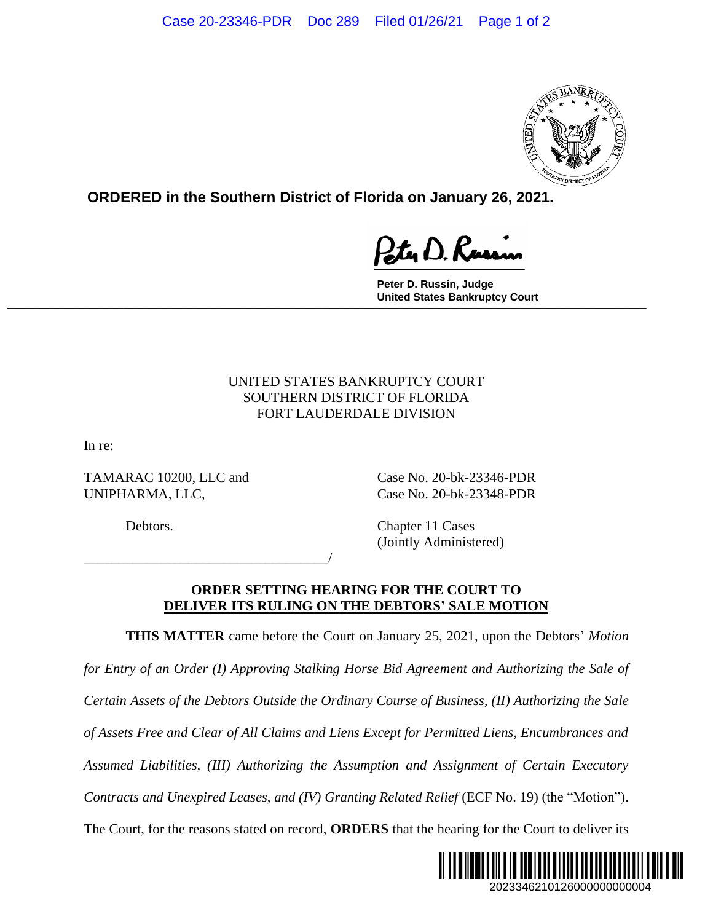

**ORDERED in the Southern District of Florida on January 26, 2021.**

Ity D. Russy

**Peter D. Russin, Judge United States Bankruptcy Court \_\_\_\_\_\_\_\_\_\_\_\_\_\_\_\_\_\_\_\_\_\_\_\_\_\_\_\_\_\_\_\_\_\_\_\_\_\_\_\_\_\_\_\_\_\_\_\_\_\_\_\_\_\_\_\_\_\_\_\_\_\_\_\_\_\_\_\_\_\_\_\_\_\_\_\_\_**

## UNITED STATES BANKRUPTCY COURT SOUTHERN DISTRICT OF FLORIDA FORT LAUDERDALE DIVISION

In re:

TAMARAC 10200, LLC and Case No. 20-bk-23346-PDR UNIPHARMA, LLC, Case No. 20-bk-23348-PDR

\_\_\_\_\_\_\_\_\_\_\_\_\_\_\_\_\_\_\_\_\_\_\_\_\_\_\_\_\_\_\_\_\_\_\_/

Debtors. Chapter 11 Cases (Jointly Administered)

## **ORDER SETTING HEARING FOR THE COURT TO DELIVER ITS RULING ON THE DEBTORS' SALE MOTION**

**THIS MATTER** came before the Court on January 25, 2021, upon the Debtors' *Motion* 

*for Entry of an Order (I) Approving Stalking Horse Bid Agreement and Authorizing the Sale of Certain Assets of the Debtors Outside the Ordinary Course of Business, (II) Authorizing the Sale of Assets Free and Clear of All Claims and Liens Except for Permitted Liens, Encumbrances and Assumed Liabilities, (III) Authorizing the Assumption and Assignment of Certain Executory Contracts and Unexpired Leases, and (IV) Granting Related Relief (ECF No. 19) (the "Motion").* The Court, for the reasons stated on record, **ORDERS** that the hearing for the Court to deliver its